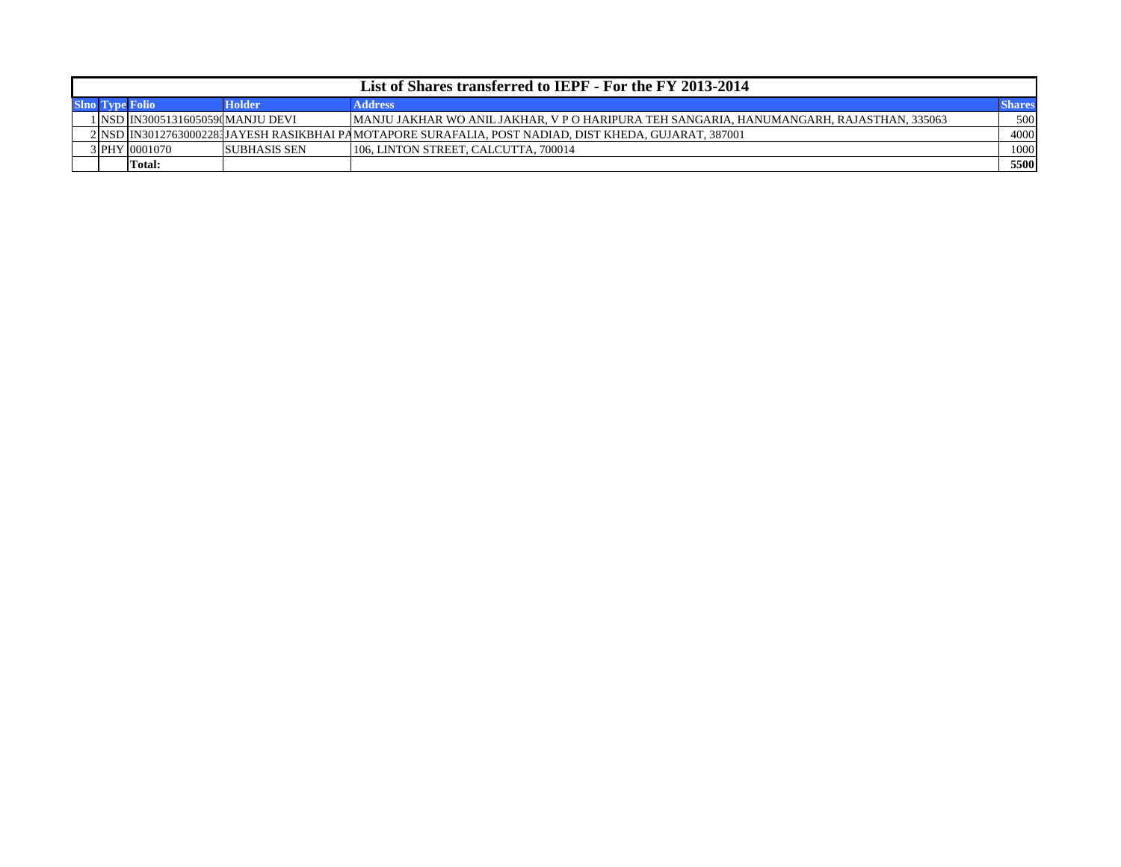| List of Shares transferred to IEPF - For the FY 2013-2014 |                                       |                      |                                                                                                         |               |  |  |  |  |  |  |  |  |  |
|-----------------------------------------------------------|---------------------------------------|----------------------|---------------------------------------------------------------------------------------------------------|---------------|--|--|--|--|--|--|--|--|--|
|                                                           |                                       | <b>Holder</b>        | <b>Address</b>                                                                                          | <b>Shares</b> |  |  |  |  |  |  |  |  |  |
|                                                           | 1   NSD   IN30051316050590 MANJU DEVI |                      | [MANJU JAKHAR WO ANIL JAKHAR, V P O HARIPURA TEH SANGARIA, HANUMANGARH, RAJASTHAN, 335063               | 500           |  |  |  |  |  |  |  |  |  |
|                                                           |                                       |                      | 2  NSD  IN30127630002281JAYESH RASIKBHAI PAMOTAPORE SURAFALIA. POST NADIAD. DIST KHEDA. GUJARAT. 387001 | 4000          |  |  |  |  |  |  |  |  |  |
|                                                           | 3 PHY 0001070                         | <b>ISUBHASIS SEN</b> | 106, LINTON STREET, CALCUTTA, 700014                                                                    | 1000          |  |  |  |  |  |  |  |  |  |
|                                                           | Total:                                |                      |                                                                                                         | 5500          |  |  |  |  |  |  |  |  |  |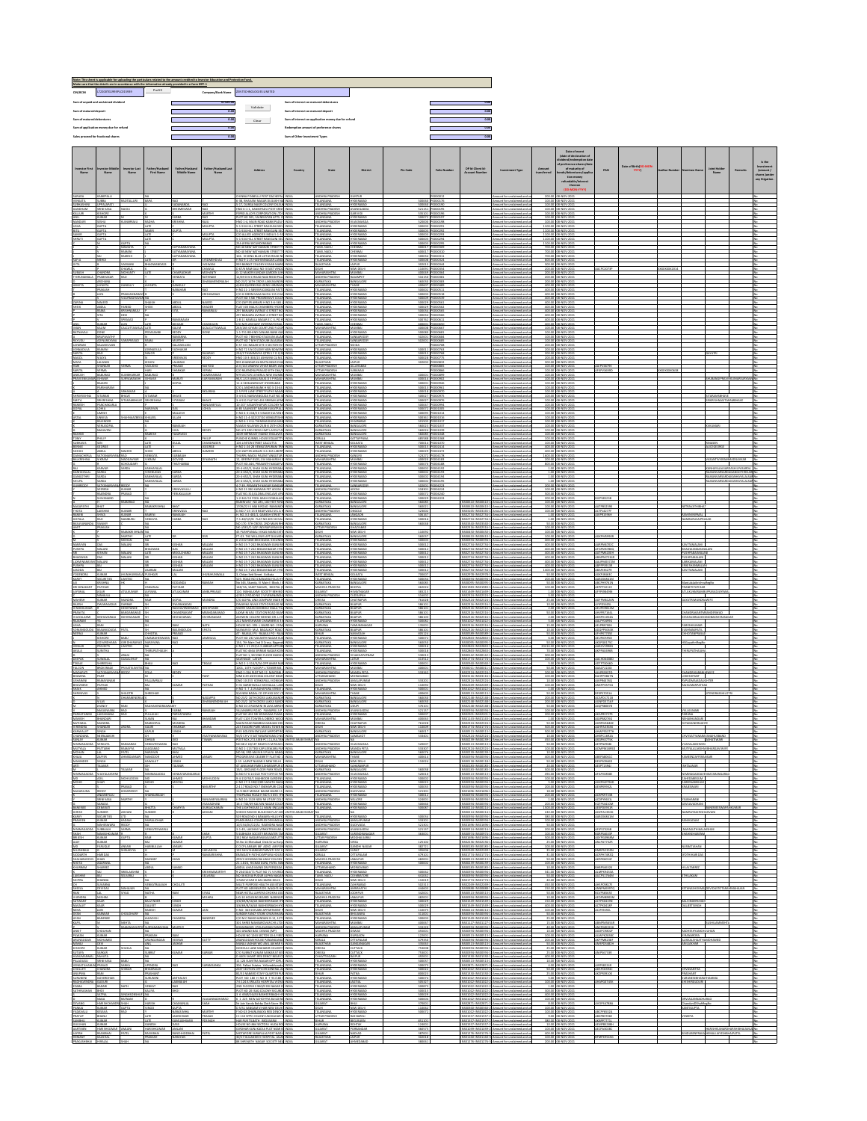| CIN/BCIN                                                | 172200761993PLC015939                                         |                                              | Prefill $\qquad$                                     |                                                                 | Note: This sheet is againable for uploading the garticulars related to the amount credited to investor Education and Protection Fund.<br>Make sum that the details are in accordance with the information aiready provided in a-f<br>Company/Bank Name | ZEN TEO INOLOGIES LIMITED                                                                                                               |                                        |                                                          |                                                        |                          |                                     |                                                       |                                                                                                                                                                                       |                       |                                                                                       |                                                |                  |            |                                                   |                                                           |                |                                                             |
|---------------------------------------------------------|---------------------------------------------------------------|----------------------------------------------|------------------------------------------------------|-----------------------------------------------------------------|--------------------------------------------------------------------------------------------------------------------------------------------------------------------------------------------------------------------------------------------------------|-----------------------------------------------------------------------------------------------------------------------------------------|----------------------------------------|----------------------------------------------------------|--------------------------------------------------------|--------------------------|-------------------------------------|-------------------------------------------------------|---------------------------------------------------------------------------------------------------------------------------------------------------------------------------------------|-----------------------|---------------------------------------------------------------------------------------|------------------------------------------------|------------------|------------|---------------------------------------------------|-----------------------------------------------------------|----------------|-------------------------------------------------------------|
|                                                         | Sum of unpaid and unclaimed dividend                          |                                              |                                                      |                                                                 | 67324.00                                                                                                                                                                                                                                               |                                                                                                                                         | Sum of interest on matured debentures  |                                                          |                                                        |                          |                                     | 0.00                                                  |                                                                                                                                                                                       |                       |                                                                                       |                                                |                  |            |                                                   |                                                           |                |                                                             |
| Sum of matured deposit<br>Sum of matured debentures     |                                                               |                                              |                                                      |                                                                 | 0.00<br>0.00                                                                                                                                                                                                                                           | Validate                                                                                                                                | Sum of interest on matured deposit     | Sum of interest on application money due for refund      |                                                        |                          |                                     | 0.00<br>0.00                                          |                                                                                                                                                                                       |                       |                                                                                       |                                                |                  |            |                                                   |                                                           |                |                                                             |
|                                                         | Sum of application money due for refund                       |                                              |                                                      |                                                                 | 0.00                                                                                                                                                                                                                                                   | $\qquad \qquad \text{Cear}$                                                                                                             | Redemption amount of preference shares |                                                          |                                                        |                          |                                     | 0.00                                                  |                                                                                                                                                                                       |                       |                                                                                       |                                                |                  |            |                                                   |                                                           |                |                                                             |
|                                                         | $\blacksquare$<br>0.00<br>Sales proceed for fractional shares |                                              |                                                      |                                                                 |                                                                                                                                                                                                                                                        |                                                                                                                                         | Sum of Other Investment Types          |                                                          |                                                        |                          |                                     | 0.00                                                  |                                                                                                                                                                                       |                       |                                                                                       |                                                |                  |            |                                                   |                                                           |                |                                                             |
|                                                         |                                                               |                                              |                                                      |                                                                 |                                                                                                                                                                                                                                                        |                                                                                                                                         |                                        |                                                          |                                                        |                          |                                     |                                                       |                                                                                                                                                                                       |                       | Date of event<br>(date of declaration<br>nd/redemption d<br>of preference sha<br>u/da |                                                | Date of Blith(DC |            |                                                   |                                                           |                |                                                             |
| Name                                                    | Name                                                          | Name                                         | <b>First Name</b>                                    | Father/Husband<br>Middle Name                                   | r/Husband Las<br>Name                                                                                                                                                                                                                                  | Address                                                                                                                                 | Country                                | <b>State</b>                                             | District                                               | Pin Code                 | <b>Folio Number</b>                 | DP Id-Client Id-<br><b>Account Number</b>             | <b>Investment Type</b>                                                                                                                                                                | Amount<br>transferred | of maturity of<br> ands/debentures/ag<br>tion money                                   | PAN                                            | mm               |            |                                                   | icint Holde<br>Name                                       | Remarks        | Investment<br>(amount/<br>shares junder<br>any littleation. |
|                                                         |                                                               |                                              |                                                      |                                                                 |                                                                                                                                                                                                                                                        |                                                                                                                                         |                                        |                                                          |                                                        |                          |                                     |                                                       |                                                                                                                                                                                       |                       | refundable/in                                                                         |                                                |                  |            |                                                   |                                                           |                |                                                             |
| SARADA<br><b>ATAXKATA</b><br><b>SUBHASHIN</b>           | KAMEPALLI<br><b>UPPALAPATI</b>                                | <b>ADTALLURI</b>                             |                                                      | <b>ADAMANDA</b>                                                 |                                                                                                                                                                                                                                                        | HINNA PINNELLU POST DACHEPAL INDIA<br>6-38, SHAVANI NAGAR DILSURH N<br>17. DURGA NAGR COLONY DILSE                                      |                                        | NDHRA PRADES<br><b>FLANGAN</b><br><b>ELANGANA</b>        | UNTUR<br>DERABAD<br><b>DERABAI</b>                     | some<br>soone            | 0000012<br>connext                  |                                                       | Amount for unclaimed and<br>Amount for unclaimed and<br>Amount for unclaimed and                                                                                                      |                       | 200.00 08-NOV-2021<br>100.00 08-NOV-2021<br>100.00 08-NOV-2021                        |                                                |                  |            |                                                   |                                                           |                |                                                             |
| GANDHAM<br>KALLI 01                                     | SRINIVASA<br>biner<br><b>BASE</b>                             |                                              |                                                      | <b>GAVATIMETRIE</b><br>ABBUZ                                    |                                                                                                                                                                                                                                                        | IND 6-1-1, KANKIPADU POST KRIT<br><b>ERRO ALLOYS CORPORATION LTD</b><br>FLOT NO SOS, SAINEXATAN APTS.                                   |                                        | NOHRA PRADESH<br>NDHRA PRADE<br><b>ELANGANI</b>          | ANIGADO<br>arvin<br>DERABA                             | sono:                    | connect<br>2000196<br>mass          |                                                       | imount for unclaimed and<br>mount for unclaimed and<br>mount for unclaimed and                                                                                                        |                       | 100.00 08-NOV-2021<br>100.00 08-NOV-2021<br>100.00 08-NOV-2021                        |                                                |                  |            |                                                   |                                                           |                |                                                             |
| NANDLIN<br><b>ISHA</b>                                  |                                                               | <b>MARRAJU</b>                               |                                                      |                                                                 | <b>GLIPTA</b>                                                                                                                                                                                                                                          | HWD 1-4 MAIN ROAD KANSTRADI<br>5-1-534 HILL STREET RAII GUNJ SD<br><b>CLOSE HILL STREET RAMCHMLSE</b>                                   |                                        | NDHRA PRADESH<br><b>ELANGANI</b>                         | AYAWADA<br>DERABA                                      | som                      | 000198<br>mazer                     |                                                       | Amount for unclaimed and<br>Amount for unclaimed and                                                                                                                                  |                       | 100.00 08-NOV-2021<br>1100.00 06-NOV-2021                                             |                                                |                  |            |                                                   |                                                           |                |                                                             |
| SAMIR                                                   |                                                               |                                              |                                                      | <b>GIRTA</b>                                                    | <b>SELPTA</b><br><b>CLIPTA</b>                                                                                                                                                                                                                         | O ALLIED AGENCIES INDIA S-1-5<br>5-1-514 HILL STREET RANIGUNI SEC INCI/                                                                 |                                        | <b>ELANGANA</b><br><b>TLANGANA</b><br><b>ELANGANA</b>    | <b>CERABA</b><br><b>CERABA</b><br><b>CERABA</b>        | some<br>soone<br>some    | mazer<br>0000293<br>0000294         |                                                       | Amount for unclaimed and<br>mount for unclaimed and<br>Amount for unclaimed and                                                                                                       |                       | 1100.00 08-NOV-2021<br>1100.00 08-NOV-2021<br>1100.00 06-NOV-2021                     |                                                |                  |            |                                                   |                                                           |                |                                                             |
|                                                         |                                                               | <b>UPTA</b><br>MAMATA<br><b>AMANI</b>        |                                                      | SATYANARAYANA<br>SATYANARAYANA                                  |                                                                                                                                                                                                                                                        | 25A JEERA SECUNDERAGAD<br>NO 40 NEW NATHAMUNI STREET<br>NO 40 NEW NATHANI IN STREET                                                     |                                        | <b>ELANGANA</b><br>AMIL NADL<br><b>AMILNADL</b>          | DERABA<br>ENNA                                         | som:<br>sono             | contante<br>maur                    |                                                       | Amount for unclaimed and<br>Amount for unclaimed and<br>Amount for unclaimed and                                                                                                      |                       | 1100.00 08-NOV-2021<br>700.00 08-NOV-2021<br>700.00 08-NOV-2021                       |                                                |                  |            |                                                   |                                                           |                |                                                             |
| SAELA                                                   |                                                               | <b>AMESH</b><br><b>ASWANI</b>                | <b>WANDAS</b>                                        | ATYANARAYANA                                                    | <b>TDMDIDIAL</b><br><b>WANI</b>                                                                                                                                                                                                                        | 104. VISHNU BLUE LOTUS ROAD N<br>H NO 9-1-25 HASHIMNAGAR LANGE INDI-<br>939 BARKAT COLONY KISSAN MARG INDI-                             |                                        | <b>TLANGANA</b><br><b>TLANGANA</b><br><b>AJASTILAN</b>   | <b>CERABA</b><br><b>CERABA</b>                         | soons<br>some            | 000031<br>0000324<br>000144         |                                                       | mount for unclaimed and<br>Amount for unclaimed and<br>Amount for unclaimed and                                                                                                       |                       | 700.00 08-NOV-2021<br>600.00 08-NOV-2021<br>300.00 08-NOV-2021                        |                                                |                  |            |                                                   |                                                           |                |                                                             |
| <b>CLIBAGE</b>                                          | <b>HANDRA</b><br><b>PRABISAKAR</b>                            | <b>AJWAH</b><br>OHANTY                       |                                                      | <b>CHAKRADHAR</b><br><b>ATAXATA</b>                             | <b>AWA</b><br>OHANTY<br><b>STHNAM</b>                                                                                                                                                                                                                  | D 67/6 RAM GALL NO-3 EAST VINC<br>5-12 MAKER KUNDAN GARDEN JU<br>2/69 D M C ROAD NAGIREDDIPAL                                           |                                        | ANNARASHTRA<br>NICHRA PRADES                             | W DELH<br>IMBA<br>AWAPET                               | 11001<br>40004           | 0000354<br>2000364<br>0000383       |                                                       | Amount for unclaimed and<br>Amount for unclaimed and<br>mount for unclaimed and                                                                                                       |                       | 200.00 08-NOV-2021<br>200.00 08-NOV-2021<br>200.00 08-NOV-2021                        | ACPC2071P                                      |                  | mmmmm      |                                                   |                                                           |                |                                                             |
| VANTA                                                   | <b>AVAIOR</b><br><b>ATMAYA</b><br><b>DAKASH</b>               | ANGULY                                       |                                                      | VILIDANCI<br><b>NARAHARI</b>                                    | <b>IARAMENDRALAH</b>                                                                                                                                                                                                                                   | NO 23/2 16TH CROSS LAKKASANDR- INDIA<br>A/404 QUEENS BUILDING HIRANA<br>H NO 21-1-589/B RICOBGUNI PAT                                   |                                        | ARNATAKA<br>MAAAASHTR<br><b>TLANGANA</b>                 | <b>ANGALOR</b><br><b>DERABAD</b>                       | ssong<br>40055           | 0000383<br>000489<br>000511         |                                                       | Amount for unclaimed and<br>Amount for unclaimed and<br>Amount for unclaimed and                                                                                                      |                       | 200.00 08-NOV-2021<br>400.00 08-NOV-2021<br>400.00 08-NOV-2021                        |                                                |                  |            |                                                   |                                                           |                |                                                             |
|                                                         |                                                               | <b>RAKASHNARA</b><br><b>AVEACHAV</b>         |                                                      |                                                                 | <b>ISBNARA</b>                                                                                                                                                                                                                                         | JO G SREENI VASA NAIDU 135 CI<br>PLOT NO 5 SBI PROGRESSIVE COLL                                                                         |                                        | <b>TLANGANA</b><br><b>TLANGANA</b>                       | <b>CERABA</b><br><b>CERABA</b>                         | some<br>some             | 1000518<br>0000539                  |                                                       | Amount for unclaimed and<br>Amount for unclaimed and                                                                                                                                  |                       | 400.00 08-NOV-2021<br>400.00 08-NOV-2021                                              |                                                |                  |            |                                                   |                                                           |                |                                                             |
| <b>7401NA</b>                                           | <b>AIFED</b><br><b>DAMA</b>                                   | GIERA<br><b>ISHNARAJU</b>                    |                                                      | ABOUT<br>AROLE                                                  | AIFFD<br>HADER<br><b>MASSAS</b>                                                                                                                                                                                                                        | C/O ZAFFER ANSARI H NO 3-6-365 L INDIA<br>FLAT 303 MALIK CHAMBERS HYDERS INCH<br>297 BANJARA AVENUE 4 STREET N                          |                                        | <b>TLANGANA</b><br><b>ELANGANA</b><br><b>ELANGANA</b>    | <b>CERABA</b><br>DERABA<br>DERABA                      | sono<br>som:<br>some     | 0000563<br>mmsez<br>conses          |                                                       | Amount for unclaimed and<br>Amount for unclaimed and<br>Amount for unclaimed and                                                                                                      |                       | 400.00 08-NOV-2021<br>400.00 08-NOV-2021<br>400.00 08-NOV-2021                        |                                                |                  |            |                                                   |                                                           |                |                                                             |
|                                                         | <b>UMAR</b>                                                   | nazao                                        |                                                      | <b>RAMANAUAH</b><br>DISTANT                                     | <b>HANDIAIN</b>                                                                                                                                                                                                                                        | 17 BANJARA AVENUE 4 STREET N<br>1-8-11 KAMALA NAGAR E C I LPD HT INDIA<br>O M/S ARIHANT INTERNATIONAL INCH                              |                                        | <b>TLANGANA</b><br><b>TLANGANA</b><br><b>AMILNADL</b>    | <b>CERABA</b><br><b>DERABAD</b><br>ENNA                | soma<br>sonze<br>some    | $\frac{1}{2}$<br>0000613<br>0000650 |                                                       | Amount for unclaimed and<br>mount for unclaimed and<br>Amount for unclaimed and                                                                                                       |                       | 400.00 08-NOV-2021<br>400.00 08-NOV-2021<br>400.00 08-NOV-2021                        |                                                |                  |            |                                                   |                                                           |                |                                                             |
| <b>IMAN</b><br><b>RATNAVALI</b>                         | KALIM<br><b>DAT</b><br><b>KRUPAVATHY</b>                      | <b>CITTAWAI</b>                              | ASAMB                                                | KALIM<br>RAMANNA                                                | CALCUTTAWALA                                                                                                                                                                                                                                           | 263/265 GIYANI COURT 2ND FLOOR INDIA<br>1-1-751 BDHIND CANARA BANK GA<br>LOT NO 7 BEHIND STADIUM JALA                                   |                                        | MAAAASHTR<br><b>ELANGANA</b><br><b>TLANGANA</b>          | IMBA<br><b>DERABAD</b><br>WGAREDE                      | 40000<br>some<br>soan    | mmus:<br>0000683<br>0000684         |                                                       | Amount for unclaimed and<br>Amount for unclaimed and<br>Amount for unclaimed and                                                                                                      |                       | 100.00 08-NOV-2021<br>100.00 08-NOV-2021<br>100.00 08-NOV-2021                        |                                                |                  |            |                                                   |                                                           |                |                                                             |
| RAYUDU<br><b>JAYARAN</b><br><b>JONNADULA</b>            | <b>AVAYARAMIO</b><br>KALAISELVAN<br>MAMA                      | <b>VARAPRASAD</b>                            | MNADLEA                                              | MURTHY<br>KALAISELVAN<br>SUDINAKAR                              |                                                                                                                                                                                                                                                        | PLOT NO 7 B/H STADIUM JALAUBAG INDIA<br>E-37 IOC NAGAR SITE II SECTOR 55 FINDIA<br>H NO 72 S N COLONY NEW BOWENP INCH                   |                                        | <b>TLANGANA</b><br><b>TTAR PRADES</b><br><b>ELANGANA</b> | <b>MG40FDD</b><br>CERABAO                              | soans<br>\$0001          | 0000685<br>0000708<br>nonnau:       |                                                       | mount for unclaimed and<br>Amount for unclaimed and<br>Amount for unclaimed and                                                                                                       |                       | 100.00 08-NOV-2021<br>200.00 08-NOV-2021<br>200.00 08-NOV-2021                        |                                                |                  |            |                                                   |                                                           |                |                                                             |
| SARITA<br><b>NAGOI</b><br>MAYA                          | <b>LEVA</b><br>IMAM U                                         |                                              |                                                      | SREENIVAS<br>LAUNAN                                             | <b>AIARAD</b>                                                                                                                                                                                                                                          | 234/2 THUMMAINA CITRS S F O O<br>HND 10-3-304/13 ASHWINI CLINI<br>905 KHANDAR KA RASTA NEAR CH                                          |                                        | <b>ELANGANA</b><br><b>ELANGANA</b><br><b>AJASTHAN</b>    | <b>DERABAD</b><br><b>CERABA</b><br><b>IDITO</b>        | sono<br>som:<br>10200    | 0000768<br>0000832                  |                                                       | Amount for unclaimed and<br>Amount for unclaimed and<br>mount for unclaimed and                                                                                                       |                       | 200.00 08-NOV-2021<br>200.00 08-NOV-2021<br>300.00 08-NOV-2021                        |                                                |                  |            |                                                   |                                                           |                |                                                             |
| <b>HARI</b><br>SARITA<br>ANKUSH                         | <b>HANKAR</b><br><b>SAAA</b><br><b>DABURAO</b>                | rassa<br><b>LIMBILARXAR</b>                  | 4011040                                              | PRASAD<br>SHANKAR                                               | ASTOGI<br><b>ANGE</b><br><b>LIMBINARXAR</b>                                                                                                                                                                                                            | A-II/143 ARANYA VIHAR BADRI AWA INDIA<br>CÍO PAIENDRA PRASAD SEDI DISA<br>9/8 SECTOR 10 NEBUL NEW MUMB                                  |                                        | <b>TTAR PRADES</b><br><b>TAR PRADE</b><br>MAAAASHTRA     | LLANABAD<br>ARANAS<br>LIMBAL                           | 40000                    | 0000865<br>000000<br>0000899        |                                                       | Amount for unclaimed and<br>Amount for unclaimed and<br>Amount for unclaimed and                                                                                                      |                       | 100.00 08-NOV-2021<br>100.00 08-NOV-2021<br>100.00 08-NOV-2021                        | AIPV4679E                                      |                  | 0000000061 |                                                   |                                                           |                |                                                             |
| <b>PRAVIENKU</b>                                        | <b>SAWH</b><br>414501<br>ARSHARAM                             | EVAWANCH                                     | <b>OMAD</b>                                          | MARITY<br>cnear                                                 | <b>EYAWANG</b>                                                                                                                                                                                                                                         | 94/C 2/23 AWAL BAUG D S P ROAD<br>11-4-58 BAZARCHAT HYDEBARAD<br>1   ANDREA BANK H NO 3-13-44   INDI-                                   |                                        | ANNABASHTR<br><b>TLANGANA</b><br><b>TLANGANA</b>         | LIMBAL<br>YOERABA<br><b>CERABA</b>                     | 40001<br>soons           | 0000902<br>0000946<br>0000963       |                                                       | Amount for unclaimed and<br>Amount for unclaimed and<br>Amount for unclaimed and                                                                                                      |                       | 100.00 08-NOV-2021<br>100.00 08-NOV-2021<br>100.00 08-NOV-2021                        |                                                |                  |            |                                                   | <b>ISLACIDOA</b>                                          |                |                                                             |
| SHRIKRSHNA<br>SMITA                                     | <b>MARANTE</b><br>AMHOTOWED                                   | <b>FIHASKAR</b><br><b>HAVE</b><br>TARAMENAY  | MARAT                                                | <b>BRANT</b><br><b>SITABAM</b>                                  | KSARMA<br><b>MANE</b>                                                                                                                                                                                                                                  | 2-5 PIPE LANE STREET FATHE NAC<br>14-511 NARAYANGUDA FLAT ND<br>4-531 FLAT NO 404 SRIRAM APA                                            |                                        | <b>ELANGANA</b><br><b>ELANGANA</b><br><b>TLANGANA</b>    | DERABA<br><b>CERABA</b><br><b>CERABA</b>               | sono<br>som<br>som       | 2002970<br>onna z<br>0000970        |                                                       | Amount for unclaimed and<br>Amount for unclaimed and<br>Amount for unclaimed and                                                                                                      |                       | 100.00 08-NOV-2021<br>100.00 08-NOV-2021<br>100.00 08-NOV-2021                        |                                                |                  |            |                                                   | TARAMSEHAV                                                |                |                                                             |
| <b>RAMESH</b><br>GORAL                                  | PANCHAKARLA                                                   |                                              | <b>MAYAN</b>                                         |                                                                 |                                                                                                                                                                                                                                                        | 0-207 VASANTHAPURI COLONY MA INDI<br>6-85 SAANGEET NAGAR KUKATPA<br>H NO 4-3-216/2 K S BAGH SIETAN B                                    |                                        | <b>TLANGANA</b><br><b>TLANGANA</b>                       | <b>DERABAD</b><br><b>DERABAD</b>                       | sonne<br>soons           | 0000994<br>noonnon                  |                                                       | mount for unclaimed and<br>Amount for unclaimed and<br>Amount for unclaimed and                                                                                                       |                       | 100.00 08-NOV-2021<br>100.00 08-NOV-2021                                              |                                                |                  |            |                                                   |                                                           |                |                                                             |
| 44741                                                   | <b>NNISA</b><br><b>RAMNOER</b>                                | <b>IAHNAAZECO</b>                            |                                                      | MALLESH.<br><b>HILAN</b>                                        |                                                                                                                                                                                                                                                        | H NO 11-4-322/27/10 VENKATES<br>H NO 6-1 VILL THIMMAIGUDA MA                                                                            |                                        | <b>ELANGANA</b><br><b>ELANGANA</b><br><b>ELANGANA</b>    | DERABA<br>DERABAD<br>KARABAD                           | sonar                    | 001014<br>cosose<br>cosos:          |                                                       | Amount for unclaimed and<br>Amount for unclaimed and                                                                                                                                  |                       | 100.00 08-NOV-2021<br>100.00 08-NOV-2021<br>100.00 08-NOV-2021                        |                                                |                  |            |                                                   |                                                           |                |                                                             |
| <b>RASHMI</b>                                           | <b>INJGOPAL</b><br>AGAVENI                                    |                                              |                                                      | <b>RAMA(AH</b><br><b>YAS BVTD</b>                               |                                                                                                                                                                                                                                                        | VASAVI NILAYAM 25 (E.B.25TH CRO) INDU<br>NO 471 3RD CROSS HIMT LAYOUT AN INCH<br>3209 NETRAVATI NANDI ENCLAVE                           |                                        | ARNATAKA<br>ARNATAKA<br>ARNATAKA                         | MGALORE<br><b>ANGALOR</b><br>WGALOR                    | sson<br>56003<br>scone   | mas<br>0001039<br>mass              |                                                       | Amount for unclaimed and<br>Amount for unclaimed and<br>Amount for unclaimed and                                                                                                      |                       | 100.00 08-NOV-2021<br>100.00 08-NOV-2021<br>100.00 08-NOV-2021                        |                                                |                  |            |                                                   | <b>ISAMUX</b>                                             |                |                                                             |
| TOMY<br><b>SUBHASIS</b><br>BENNIE                       | necr                                                          |                                              |                                                      | <b>DIE AL</b>                                                   | 14112<br>HANDRASEN<br><b>EDRGE</b>                                                                                                                                                                                                                     | PUNCHE KUNNEL HOUSE EDAVET<br>106 HATON STREET CALCUTTA<br>H NO 1-24-26 VENYATADI IRAM TRIB II                                          |                                        | rpai a<br><b>IEST BENGA</b><br><b>TLANGANA</b>           | <b>ATTAPPANA</b><br><b>TIKATA</b><br>YOERABA           | 68558<br>soon            | 001068<br>maa<br>0002414            |                                                       | Amount for unclaimed and<br>Amount for unclaimed and<br>Amount for unclaimed and                                                                                                      |                       | 100.00 08-NOV-2021<br>100.00 08-NOV-2021<br>400.00 08-NOV-2021                        |                                                |                  |            |                                                   | NASEN<br>CECEDROE                                         |                |                                                             |
| SHEIGH<br>DAMACHERLA<br><b>BALKBISHNA</b>               | <b>SATYANARAYANA</b>                                          | <b>MIEED</b><br><b>AADGAVKAR</b>             | TNKATA                                               | ABOUL<br>SUBBAIAN<br>COVINO                                     | NANATH                                                                                                                                                                                                                                                 | C/O ZAFFER ANSARI 3-6-365 LIBER<br>THURPU NAIDU PALEM TANGUTUR<br>12. GREEN FIELDS 134 MANARSHI                                         |                                        | <b>TLANGANA</b><br>NDHRA PRADES<br>ANNABASHTR            | DERABA<br>LIMBAL                                       | sono<br>52327<br>4000    | 000247<br>1004178<br>2004111        |                                                       | Amount for unclaimed and<br>Amount for unclaimed and<br>Amount for unclaimed and                                                                                                      |                       | 400.00 08-NOV-2021<br>1600.00 06-NOV-2021<br>200.00 08-NOV-2021                       |                                                |                  |            |                                                   | SANTIVIERA                                                | <b>DGAVKAR</b> |                                                             |
| RAI<br>KANNAYALAL                                       | <b>SAWAR</b><br>SARDA                                         | HOLIDARY<br>unu                              | ANHAYALAL<br>GIMIDAS                                 | THATHABEA<br>SARDA                                              |                                                                                                                                                                                                                                                        | OT NO 446 PRASANTH NAGAR<br>20-4-652/2, SHAH GUNJ HYDERAB<br>20-4-652/2, SHAH GUNJ HYDERABA INDI-                                       |                                        | <b>TLANGANA</b><br><b>TLANGANA</b><br><b>TLANGANA</b>    | <b>CERABA</b><br><b>CERABA</b><br><b>CERABA</b>        | some<br>soone<br>some    | 0004118<br>0004192<br>0004193       |                                                       | Amount for unclaimed and<br>Amount for unclaimed and<br>Amount for unclaimed and                                                                                                      |                       | 800.00 08-NOV-2021<br>1.00 08-NOV-2021<br>1.00 08-NOV-2021                            |                                                |                  |            |                                                   | ANHAYALALSARDASHILPASARDA<br>IFAMARSARDAGANCE             |                |                                                             |
| GANGOTHE<br>SHILPA                                      | AROA<br>sagna<br>SATYANARAYAN                                 |                                              | ANHAYALAL<br>MHAYALAL                                | saana<br>sanna                                                  |                                                                                                                                                                                                                                                        | 20-4-652/2, SHAH GUNJ HYDERAB<br>20-4-652/2, SHAH GUNJ HYDERAB<br>4-7-39, PRASANTH NAGAR SANGA                                          |                                        | <b>ELANGANA</b><br><b>ELANGANA</b><br><b>TLANGANA</b>    | DERABA<br>DERABAD<br><b>NG40TD</b>                     | some<br>some             | 004194<br>mator<br>mezz:            |                                                       | Amount for unclaimed and<br>Amount for unclaimed and<br>Amount for unclaimed and                                                                                                      |                       | 1.00 08-NOV-2021<br>1.00 08-NOV-2021<br>200.00 08-NOV-2021                            |                                                |                  |            |                                                   | <b>IFAN/APCARDAKANHAYALALCA</b><br>IFAMARKARDAKANNAYALAIS |                |                                                             |
|                                                         | <b>AJENCRA</b><br><b>IVANANE</b>                              | <b>BASE</b><br><b>BASAT</b>                  |                                                      | SRINIVASULU<br><b>ISSUED ANTES</b>                              |                                                                                                                                                                                                                                                        | H NO 23 390 KARWAN PET ADONI N<br>FLAT NO. 310 GLOBAL ENCLAVE APA INDI-<br>1-2-361/13 POOL BAGH DOMALA                                  |                                        | NOHRA PRADES<br><b>TLANGANA</b><br><b>ELANGANA</b>       | CERABAO<br>DERAGAI                                     | 5100<br>som:             | mezi<br>0004240                     |                                                       | Amount for unclaimed and<br>Amount for unclaimed and<br>Amount for unclaimed and                                                                                                      |                       | 100.00 08-NOV-2021<br>500.00 08-NOV-2021<br>200.00 08-NOV-2021                        | CPS85238                                       |                  |            |                                                   |                                                           |                |                                                             |
| <b>NAGAPATHI</b>                                        | <b>BANZA</b>                                                  | <b>DARAMA</b><br>BAMU.                       | AMAKRISHNA                                           | <b>BRANT</b><br>SRINIVASA                                       |                                                                                                                                                                                                                                                        | RAMNIVAS' NO 285, 100 FEET RIN<br>1709/22 III MAIN ROAD RAMAM<br>D.NO.7-15-13 B NEAR VASU M LA H INDIA                                  |                                        | ARNATAKA<br>ARNATAKA<br>NDHRA PRADES                     | MGALORE<br><b>ANGALOR</b>                              | 56000<br>son<br>52300    |                                     | 1200510-1N200610-                                     | 1 Amount for unclaimed and<br>300510-IN300610-1 Amount for unclaimed and<br>(303165-IN303165-1 Amount for unclaimed and                                                               |                       | 100.00 08-NOV-2021<br>100.00 08-NOV-2021<br>100.00 08-NOV-2021                        | ATPB3259K                                      |                  |            | TELVATHIE                                         |                                                           |                |                                                             |
| <b>RAMIN</b><br>GOPALA<br>BASAVANANO                    | <b>WAMPY</b>                                                  | <b>UMAR</b><br>AMBURU                        | AMM                                                  | <b>DAMAGES</b><br><b>SUBBA</b>                                  |                                                                                                                                                                                                                                                        | H. NO.3-2-481/1, GANESH STREET<br>7-1-48/5/3/8 FLAT NO 403 SHEVA<br>NO 170, STH CROSS, 2ND MAIN RHS                                     |                                        | <b>TLANGANA</b><br><b>ELANGANA</b><br>ARNATAKA           | NGAON<br><b>DERABAI</b><br><b>ANGALOR</b>              | spase<br>sono<br>56004   |                                     |                                                       | (302734-IN302734-1 Amount for unclaimed and<br>(302734-IN302734-1 Amount for unclaimed and<br>(303340-IN303340-1 Amount for unclaimed and                                             |                       | 1.00 08-NOV-2021<br>1.00 08-NOV-2021<br>50.00 08-NOV-2021                             | CTPL4277F<br>HOR15DGH                          |                  |            | <b>RAMININIRMAL</b><br><b>MELBIRA</b>             |                                                           |                |                                                             |
|                                                         |                                                               | <b>AMAKRISHNA</b>                            |                                                      |                                                                 |                                                                                                                                                                                                                                                        | NK-1/381/C-3/SF INDIRAPURAM G<br>45 PUSHPANJALI VIKAS MARG EXT<br>-G3, THE WILLOWS APT GULMON INDI-                                     |                                        | <b>TAR PRADE</b><br>ARNATAKA                             | SAZIABAD<br>EW DELH<br><b>ANGALOR</b>                  | 11005<br>$\omega$        |                                     |                                                       | (302316-IN302316-1 Amount for unclaimed and<br>(200450-IN200450-3 Amount for unclaimed and<br>300610-IN300610-1 Amount for unclaimed and                                              |                       | 100.00 08-NOV-2021<br>100.00 08-NOV-2021<br>100.00 08-NOV-2021                        | <b>GIPMS990R</b>                               |                  |            |                                                   |                                                           |                |                                                             |
| NARAYAN<br><b>PUSHPA</b>                                |                                                               | <b>MAHO</b><br><b>IALANT</b>                 |                                                      | <b>INSTER</b>                                                   | INALANI<br>141,451                                                                                                                                                                                                                                     | 6-2-632 NDW BHOIGUDA SECUND<br>H NO 15-7-242 BHAGWAN GUNJ BD INDIA<br>H NO 15-7-242 BEGUM BAZAR HY                                      |                                        | <b>ELANGANI</b><br><b>ELANGANA</b><br><b>TLANGANA</b>    | DERABA<br><b>DERABAD</b><br><b>CERABA</b>              | som<br>\$0000<br>5000    |                                     |                                                       | 300394-IN300394-1 Amount for unclaimed and<br>(302734-IN302734-1 Amount for unclaimed and<br>(302734-IN302734-1 Amount for unclaimed and                                              |                       | 400.00 08-NOV-2021<br>400.00 08-NOV-2021<br>400.00 08-NOV-2021                        | AARPMA702C<br><b>GPM37880</b>                  |                  |            | <b><i>CANTAMALANE</i></b><br>HAGWANDASM           |                                                           |                |                                                             |
| <b>BHAGWAN</b><br><b>LAXMINARAYAN</b>                   | <b>MANE</b>                                                   | MALANI<br>641,420                            |                                                      | MOOLD (AND<br><b>KISHAN</b><br><b>KYSHANI</b>                   | MALANI<br>MLANI<br>141,451                                                                                                                                                                                                                             | H NO 15-7-242 BHAGWAN GUNJ BD II<br>H NO 15-7-242 BHAGWAN GUNJ BD INDIA<br>H NO 15-7-242 BHAGWAN GUNJ B                                 |                                        | <b>TLANGANA</b><br><b>TLANGANA</b><br><b>ELANGANA</b>    | <b>DERABAD</b><br><b>DERABAD</b><br>DERABA             | some<br>soons<br>sono    |                                     |                                                       | (302734-IN302734-1 Amount for unclaimed and<br>(302734-IN302734-1 Amount for unclaimed and<br>(302734-IN302734-1 Amount for unclaimed and                                             |                       | 400.00 08-NOV-2021<br>400.00 08-NOV-2021<br>400.00 08-NOV-2021                        | HOOCBMETA<br><b>BMPM7214R</b><br>AUPM0372M     |                  |            | SHPABAIMAL<br>SHPAMALANI<br><b>RICAMALAN</b>      |                                                           |                |                                                             |
| <b>PUSHPA</b><br><b>ACCEAL</b><br><b>YOGENDRA</b>       | 10448                                                         | UNIHUWA                                      | SARAN<br>OIKAR                                       | <b>KYSHANI</b><br>MAI ANI                                       | <b>CINDERWAL</b>                                                                                                                                                                                                                                       | H NO 15-7-242 BHAGWAN GUNJ B<br>H NO 15-7-242 BEGUM BAZAR HY<br>3. Chitan Sett Street Kolkata                                           |                                        | <b>ELANGANA</b><br><b>ELANGANA</b><br><b>IEST BENGA</b>  | <b>DERABAD</b><br><b>CERABA</b><br>DUKATA              | \$000<br>5000<br>zonne   |                                     |                                                       | (302734-IN302734-1 Amount for unclaimed and<br>(302734-IN302734-1 Amount for unclaimed and<br>302978-IN302978-1 Amount for unclaimed and                                              |                       | 400.00 08-NOV-2021<br>1400.00 08-NOV-2021<br>50.00 08-NOV-2021                        | 000020138<br>BAP13627R<br>GKPJB463C            |                  |            | <b>REACHING</b><br><b>INFLAMATION</b>             |                                                           |                |                                                             |
| KARVY<br>KRISHNAKANT                                    | SAOTA                                                         | <b>MITED</b>                                 | NKADI AL                                             | KODANDA<br>PATIDAR                                              | <b>AMEAN</b>                                                                                                                                                                                                                                           | 29. ROAD NO 4 BANJARA HILLS HY INDIA<br>No 346, Skanda, III Main II Block.<br>148/9A SAKET NAGAR. BHOPALI                               |                                        | <b>ELANGANA</b><br>ARNATAKA<br>MDHYA PRADE               | <b>DERABAD</b><br>WGALOR<br><b>IOPAL</b>               | soma<br>scone<br>46207   |                                     |                                                       | 300394-IN300394-1 Amount for unclaimed and<br>300095-IN300095-1 Amount for unclaimed and<br>(301983-IN301983-1 Amount for unclaimed and                                               |                       | 200.00 08-NOV-2021<br>50.00 08-NOV-2021<br>100.00 08-NOV-2021                         | A42005841M<br>ACPH9761N<br>EPPP1012C           |                  |            | nislajakrista<br>PRANETIPATIDAR                   |                                                           |                |                                                             |
| <b>JAYSWAL</b><br>MAHISH                                | A NILEA<br><b>HAAD</b>                                        | <b>TULKUMAR</b><br><b>MUNDRA</b>             |                                                      | ATHEIMAG<br><b>GOPAL</b>                                        | MELIPRASA<br><b>SUNDRA</b>                                                                                                                                                                                                                             | 10. MAHALAXMI SOCIETY BEHIN<br>4/355-2 ROAD NO 2 VIVEXANANO<br><b>JO GOPAL AND COMPANY MAIN REINDIL</b>                                 |                                        | <b>UJARAT</b><br>NOHRA PRADES!<br><b>OKKA</b>            | <b>MATNAGA</b><br>nnazar<br>HATRAPLIR                  | 38323<br>51.600<br>76103 |                                     |                                                       | 101469-IN301469-1 Amount for unclaimed and<br>(302324-IN302324-1 Amount for unclaimed and<br>(302324-IN302324-1 Amount for unclaimed and                                              |                       | 1.00 08-NOV-2021<br>5.00 08-NOV-2021<br>25.00 08-NOV-2021                             | MEMBERY<br>AGFPM6124N                          |                  |            | ULKUMARAMBUPRASADIAYS<br>GAYATRIMUNDE             |                                                           |                |                                                             |
| <b>PAIDS!</b><br>VINODICUMAR<br>PRANITA                 | VARAKADAS                                                     | <b>SARRAC</b><br><b>SSHPANDE</b><br>WDARAWAD |                                                      | <b>DWARAKADAS</b><br><b>RAGHAVENDRARA</b><br><b>CHANDRAKANT</b> | <b>ESHPANDE</b><br>BANDARAWA                                                                                                                                                                                                                           | DWARIKA NIVAS STATION ROAD I<br>MAYEE SADAN GODBOLE MALA TI<br>LAXMI NIVAS STATION ROAD BLM                                             |                                        | <b>ARNATAKA</b><br>ARNATAKA<br>ARNATAKA                  | <b>IADIO</b><br><b>JAPUR</b><br><b>IADIO</b>           | cass<br>58610<br>58610   |                                     |                                                       | (302316-IN302316-1 Amount for unclaimed and<br>(302316-IN302316-1 Amount for unclaimed and<br>(302316-IN302316-1 Amount for unclaimed and                                             |                       | 10.00 08-NOV-2021<br>2.00 08-NOV-2021<br>50.00 08-NOV-2021                            | <b>EUPOSSIAM</b><br>HVPB7164L                  |                  |            | <b>DIANDRAKANTMBANDERWAD</b>                      |                                                           |                |                                                             |
| <b>VUAYALAXMI</b><br><b>RAJARAM</b>                     | SHAVARAJU                                                     | HIRASAGAR                                    |                                                      | <b>KESHAVARAJLI</b>                                             | HIRASAGA                                                                                                                                                                                                                                               | ASHWIN COLONY BDHND DR. L.H B<br>212 MAHESHWARI CHAMBERS 6 3 6<br>HOUSE NO- 395- L WARD NO- 29 N                                        |                                        | ARNATAKA<br><b>ELANGANA</b><br>ARYANA                    | <b>JAPUR</b><br>DERABAD<br>AMUNANAGA                   | 58610<br>some<br>1350    |                                     |                                                       | (302316-IN302316-1 Amount for unclaimed and<br>(301022-IN301022-1 Amount for unclaimed and<br>(302316-IN302316-1 Amount for unclaimed and                                             |                       | 2.00 08-NOV-2021<br>5.00 08-NOV-2021<br>15.00 08-NOV-2021                             | 10PK1054A<br>ALPYDRIGG<br>HELPRE700H           |                  |            | <b>HAVARIT</b><br><b>ARESHOLMAR</b>               |                                                           |                |                                                             |
| SOMANGOLIC<br><b>NEERAL</b>                             | BASANCOLIDA<br>MAD<br>SHORE                                   |                                              | HOTAL<br>MAMAHESWARA RA                              | BASANGOUDA<br>posser                                            | <b>MMTL</b>                                                                                                                                                                                                                                            | SASMIR FC MLA RACAIVOT BO-<br>AT - RAIAULI PS - RAIAULI PO - RAJA<br>LOT NO 232 VASANTH NAGAR KU                                        |                                        | ARNATAKA<br><b>HAD</b><br><b>TLANGANA</b>                | <b>JAPUR</b><br><b>KINADAH</b><br><b>CERABA</b>        | sesse<br>80512<br>som:   |                                     |                                                       | (302316-IN302316-1 Amount for unclaimed and<br>300589-IN300589-1 Amount for unclaimed and<br>hop huminizers and teacond if . Child Constitute Land                                    |                       | 10.00 08-NOV-2021<br>50.00 08-NOV-2021<br>6.00 08-NOV-2021                            | DOPPSOGIK<br><b>SHPK770SE</b><br>UPIDS95D      |                  |            | <b>ISHMASPATIL</b><br><b>HOTANOGA</b>             |                                                           |                |                                                             |
| <b>VINSAR</b><br>ARTIA                                  | WARDHAMA<br><b>AFTHA</b>                                      | RIDHARARAD                                   | <b>ARAYANA</b><br><b>IEUPATHALAN</b>                 |                                                                 |                                                                                                                                                                                                                                                        | 134, 7th Main 2nd D Cross, Namenda INDI<br>H NO 1-11-252/A-3 JABBAR APTS 9<br>ELAT NO ASSA SEIDAM NAGAD KO                              |                                        | ARNATAKA<br><b>ELANGANA</b><br><b>ELANGANA</b>           | <b>ANGALOR</b><br>DERABA<br>DERABAD                    | 56005<br>som<br>\$0000   |                                     |                                                       | Total humistics and teacord for contained and a<br>302853-IN302853-1 Amount for unclaimed and<br>302853-IN302853-1 Amount for unclaimed and                                           |                       | 50.00 08-NOV-2021<br>20416.00 08-NOV-2021<br>70.00 08-NOV-2021                        | SPG8175C<br>ABOVS998G<br>820404358             |                  |            | Gavathrike<br>HIRUPATHAM                          |                                                           |                |                                                             |
| <b>DEEPAK</b><br>TEKALE                                 | <b>UWALAL</b><br>HIREESHA                                     | <b>DATE</b><br><b>GALDER</b>                 |                                                      |                                                                 | <b>DOM F</b>                                                                                                                                                                                                                                           | FLAT NO 1, SECOND FLOOR MADIN<br>SAVEWADI LATUR<br>H NO 2-1-514/3/2A OPP AMAR NUR INDIA                                                 |                                        | NDHRA PRADE<br>ANNABASHTR<br><b>ELANGANA</b>             | SANIGA DA TRIAL<br><b>OABAR301</b>                     | sann<br>41353            |                                     |                                                       | 300142-IN300142-1 Amount for unclaimed and<br>101774-18301774-1 Amount for unclaimed and<br>300360-IN300360-3 Amount for unclaimed and                                                |                       | 300.00 08-NOV-2021<br>000.00 08-NOV-2021<br>5.00 08-NOV-2021                          | ACHDS488D<br>030007970                         |                  |            |                                                   |                                                           |                |                                                             |
| FALCON<br><b>MADAPAT</b><br>BISAWNA                     | SOKERAGE<br>ATYANARAYA                                        | <b>RIVATELIMIT</b>                           |                                                      |                                                                 |                                                                                                                                                                                                                                                        | 1001 10TH FLOOR P.J.TOWER 850<br>DNO 1-156 PIOTAC 17 MASTAN<br>MMIG 29 ASHIYANA COLONY NEA                                              |                                        | MAAAASHTRA<br>NDHRA PRADES<br>TTARAKHAN                  | IMBA<br>MNDA PETA<br>1240454                           | 4000<br>53334            |                                     |                                                       | (300011-IN300011-1 Amount for unclaimed and<br>107324-18302324-1 Amount for unclaimed and<br>303116-IN303116-1 Amount for unclaimed and                                               |                       | 50.00 08-NOV-2021<br>100.00 08-NOV-2021<br>100.00 06.50%2021                          | <b>AAACF22200</b><br>LUPRS9370<br>AHPPOSS/TN   |                  |            | <b>CHANDRIKARAN</b><br><b>TANNIT</b>              |                                                           |                |                                                             |
| USHARANI<br><b>BHUVNES</b><br><b>HAIK</b>               | <b>MAMAYANAM</b><br><b>STHAK</b>                              |                                              | ALLAMRAJLI                                           | 1844                                                            | <b>ATHAY</b>                                                                                                                                                                                                                                           | DND 10-253 KONKAPALLI KONKAPI INDIJ<br>H 31 GARDHWALLI MOHALLA, LAX<br>H NO 5 7 219 AGHAPURA STREET                                     |                                        | NOHRA PRADESH<br><b>ELANGANA</b>                         | MALAPURAM<br>EW DELHI<br><b>DERABAG</b>                | \$3320<br>11001          |                                     |                                                       | 102324-18302324-1 Amount for unclaimed and<br>(302269-IN302269-1 Amount for unclaimed and<br>(301022-IN301022-1 Amount for unclaimed and                                              |                       | 10.00 08-NOV-2021<br>000.00 08-NOV-2021<br>1.00 08-NOV-2021                           | 037844760<br>NKPP0575G                         |                  |            | VPADMAJADAUGH<br><b>JELIMARPATH</b>               |                                                           |                |                                                             |
| SHRINIVAS                                               |                                                               | arom.<br><b>LABANTNOS</b>                    | <b>RIDHAR</b>                                        |                                                                 | <b>IAGAPPA</b><br>HARANDRAAM                                                                                                                                                                                                                           | 9/A NEW BADAL CD OP HSG SOC<br>NO 23/2 16TH CROSS LAKKASAND<br>NO 23/2 16TH CROSS LAKKA SANDR INDIA                                     |                                        | ANNABASHTRA<br>CARNATAKA<br>CARNATAKA                    | ANGALORE<br>ANGALORE                                   | 40060<br>56003<br>56007  |                                     |                                                       | (200513-IN200513-1 Amount for unclaimed and<br>(302148-IN302148-1 Amount for unclaimed and<br>102145-18302145-1 Amount for unclaimed and a                                            |                       | 50.00 08-NOV-2021<br>200.00 08-NOV-2021<br>200.00 08-NOV-2021                         | FXPS7051A<br>CAPD17218<br>AGNPD3716F           |                  |            |                                                   |                                                           |                |                                                             |
|                                                         | <b>MANO</b><br><b>NAGASWARA</b>                               | <b>DANI</b>                                  | AGHAVENDRAST                                         | SUBBA                                                           | RAMALAH                                                                                                                                                                                                                                                | D NO 10-2 RUMMINI NILAYA ARROR INDIA<br>YALAMARRU ROAD PAMARRU A P INDIA                                                                |                                        | CARNATAKA<br>MICHIRA PRADESH                             | WANIGADOA                                              | 57410                    |                                     |                                                       | (302148-IN302148-1 Amount for unclaimed and u<br>IN300394-IN300394-1 Amount for unclaimed and u                                                                                       |                       | 50.00 08-NOV-2021<br>100.00 08-NOV-2021                                               | UOPRIDE79                                      |                  |            | WILKUMARI                                         |                                                           |                |                                                             |
| PARVATA<br><b>MANSH</b><br><b>NATHMAL</b>               | <b>BRANDARI</b><br><b>MUNDRA</b>                              |                                              | <b>GAKAN</b><br><b>AMGOON</b>                        | <b>MUNDRA</b>                                                   | HANDAR                                                                                                                                                                                                                                                 | LAT-1105 TOWER-A OBEROI WOO<br>MAIN ROAD RAMEHA GANJAM OD                                                                               |                                        | ANNABASHTRA<br>oxta                                      | LIMBA<br><b>IATRAPLE</b><br>W DELH                     | 40006<br>T6100           |                                     |                                                       | (301143-IN301143-1 Amount for unclaimed and<br>302324-1N302324-1 Amount for unclaimed and                                                                                             |                       | 1.00 08-NOV-2021<br>50.00 08-NOV-2021                                                 | <b>FADD373</b><br>GJP88276G<br>VIRPMILI4EC     |                  |            | <b>ENAGINATION</b><br><b>PAMERING</b>             |                                                           |                |                                                             |
| <b>VIRENDRA</b><br>KANWALIT<br><b>CHANDANA</b>          | SHANKAR<br>NEERAJAKSH                                         |                                              |                                                      | <b>SHANKA</b>                                                   | prior<br>SATYANARAYANA                                                                                                                                                                                                                                 | 25 TAGORE PARK MODEL TOWN KI INDIA<br>55 GOLDEN ENCLAVE ALRPORT R<br>O CH V V SATYANADAYANA O N                                         |                                        | <b>ARNATAKA</b><br><b>DHRA PRADES</b>                    | NGALOR<br>MALKOT                                       | 11005<br>53340           |                                     |                                                       | 301774-IN301774-1 Amount for unclaimed and<br>00513-IN300513-1 Amount for unclaimed and<br>302324-IN302324-1 Amount for unclaimed and                                                 |                       | 500.00 08-NOV-202<br>500.00 08-NOV-2021<br>10.00 08-NOV-2021                          | AHPAIDESK<br>HWPSS177H<br>HEPC1692A            |                  |            | WSATYANAR                                         | ANAHUSBAND                                                |                |                                                             |
| SANJAY<br><b>NIMMAGADO</b><br>MUTKALA                   | MAD<br><b>TMCATA</b><br>TTAGH                                 | <b>MIGARAD</b>                               | <b>HELE</b><br><b><i>ENKATESWARA</i></b><br>CGARAC   | MITGH.                                                          |                                                                                                                                                                                                                                                        | ST BOX 272-SEEB PC 111-SULTAN UNITED ARAB EMIR<br>VO 68 2 18/10F NEAR N 5 M ROAD V<br>NO 1-113 TEXI KAPILESWARA PUR                     |                                        | NOHRA PRADESH<br>NOHRA PRADES                            | <b>JAYAWADA</b><br>MNDA PETA                           | 52000<br>53320           |                                     |                                                       | 100219-IN100229-1 Amount for unclaimed and<br>300513-IN300513-1 Amount for unclaimed and<br>(302324-IN302324-1 Amount for unclaimed and                                               |                       | 450.00 06-NOV-202<br>50.00 08-NOV-2021<br>100.00 08-NOV-2021                          | <b>GPK0775K</b><br>EYPN2968J<br>MPM1895C       |                  |            | <b>JAYALAKSHM</b><br><b>TYALALAKSHMIBHARGAVTE</b> | <b>ASIATIWAR</b>                                          |                |                                                             |
| MONAN<br><b>KIAIA</b><br>MANINOER                       |                                                               | MEDANSA                                      | azavan                                               | ANRATI                                                          |                                                                                                                                                                                                                                                        | NO SE, JRO MAIN'N S PALYA BAN<br><b>OGRESSIVE CELEBRITY FLAT NO</b><br>15 LAIPAT NAGAR-3 NEW DELHI                                      |                                        | ARNATAKA<br>MAAAASHTR                                    | WGALOR<br>IN DELHI                                     | sson<br>40061<br>11007   |                                     |                                                       | 300220-H300220-1 Amount for unclaimed and<br>300394-IN300394-1 Amount for unclaimed and<br>300118-IN300118-1 Amount for unclaimed and                                                 |                       | 10.00 08-NOV-2021<br>400.00 08-NOV-2021<br>50.00 08-NOV-2021                          | <b>DEPARDSIC</b><br>19509460                   |                  |            | <b>MEENZAFFER</b>                                 |                                                           |                |                                                             |
| NIMMAGADO                                               | <b>JAYALAKSHIN</b>                                            | I WAR                                        | mascanna                                             | TALWAR<br>VENKATARANGAR                                         |                                                                                                                                                                                                                                                        | JAWAHAR PARK SAHARANPUR UT<br>1/1, GROUND FLOOR PARK ROAD.<br>NO 57 6 14 OLD POST OFFICE PAT                                            |                                        | TTARAKIVAND<br>ARNATAKA<br>NOHRA PRADESH                 | <b>ULARANPLIE</b><br><b>ANGALOR</b><br><b>JAYAWADA</b> | 56001<br>\$2000          |                                     |                                                       | 300183-IN300183-1 Amount for unclaimed and<br>300183-IN300183-1 Amount for unclaimed and<br>300513-IN300513-1 Amount for unclaimed and                                                |                       | 20.00 08-NOV-2021<br>500.00 08-NOV-2021<br>494.00 06-NOV-2021                         | SPT1394J<br><b>TAPVORSEE</b>                   |                  |            | RAWARTH<br><b>MMAGADDA</b>                        | TERENCE                                                   |                |                                                             |
|                                                         |                                                               | <b>BASAT</b>                                 |                                                      | ANRATI                                                          | MIPTH                                                                                                                                                                                                                                                  | 9-4-132/50/1 MAHBOOB GARDEI<br>NO 17-3-198/2/89 SADATH NAGA<br>4 17 ROAD NO 7 SNDHAPURI CO                                              |                                        | <b>ELANGANA</b><br><b>ELANGANA</b><br><b>ELANGANA</b>    | DERABA<br><b>DERABAD</b><br><b>DERABAD</b>             | 50000<br>5000<br>50007   |                                     |                                                       | 300394-IN300394-1 Amount for unclaimed and<br>300394-IN300394-1 Amount for unclaimed and<br>100334-1N300354-1 Amount for unclaimed and                                                |                       | 100.00 08-NOV-2021<br>5.00 08-NOV-2021<br>00.00 08-NOV-2021                           | 002M2796D<br>ENPR3932L                         |                  |            | MEDARDOUM<br>AREENABEGU<br><b>ISHINGTH</b>        |                                                           |                |                                                             |
| <b>NAGARJUNA</b>                                        | <b>MATHLE</b><br><b>AZAV M</b>                                |                                              | ANKARALAH                                            |                                                                 | ANJANEYASARM                                                                                                                                                                                                                                           | (138/2 MEDAR BAZAR WARD 11 INDIA<br>OPKANA ROAD H NO S 3 655<br>NO 26-1319 NDW MILITARY CO                                              |                                        | NDHRA PRADES<br><b>ELANGANI</b><br>NOHRA PRADESH         | <b>DIVADA</b><br>DERABA                                | 52130<br>som<br>52400    |                                     |                                                       | 101696-IN301696-1 Amount for unclaimed and<br>300394-IN300394-1 Amount for unclaimed and<br>300394-IN300394-1 Amount for unclaimed and                                                |                       | 15.00 06-NOV-2021<br>200.00 08-NOV-2021<br>1.00 08-NOV-2021                           | CRPK97338<br>0999651L                          |                  |            | <b>INARANIEL</b>                                  |                                                           |                |                                                             |
| <b>BANCRICE</b><br>GIRISH                               | EBARATI<br>NOTE                                               | <b>IVAN</b>                                  |                                                      |                                                                 | SAVADHANI<br><b>RGACHARAN</b>                                                                                                                                                                                                                          | 4.3.740.000 KAIYAN NAGAR COL<br>HE USHTHOUSE 11 MANI ENCLAVE INSUR<br>HEINH RASHID BUILDING ELAT 403 UNITED ARAS EMID                   |                                        | <b>TLANGANA</b><br>LANGANA                               | <b>DERABAD</b><br>OFPARA                               | 50060<br>50001           |                                     |                                                       | 300394-IN300394-1 Amount for unclaimed and<br>(300214-IN300214-1 Amount for unclaimed and<br>(300214-1N300214-1) Amount for unclaimed and                                             |                       | 200.00 08-NOV-2021<br>1500.00 08-NOV-2021<br>340.00 06-NOV-2021                       | TP54410M<br>EXPO0931R<br>2021130               |                  |            | MRATAGIR                                          |                                                           |                |                                                             |
| KARVY<br>POAVITY                                        | <b>BAAR</b><br><b>AHESWARA</b>                                | <b>ADAM</b>                                  | <b>IDAI IDIAN</b>                                    |                                                                 |                                                                                                                                                                                                                                                        | 29 ROAD NO 4 BANJARA HILLS H<br>ANDURAGA COMPLEX DEVANGU<br>1/154/D4/22/A1 RAJINDRA NAG                                                 |                                        | <b>ELANGANA</b><br>NOHRA PRADESH<br>NOHRA PRADES!        | <b>DERABAD</b><br>MALAPURAM<br>DIVADA                  | \$0003<br>5322<br>52130  |                                     |                                                       | 300394-IN300394-1 Amount for unclaimed and<br>300394-IN300394-1 Amount for unclaimed and<br>101696-IN301696-1 Amount for unclaimed and                                                |                       | 380.00 08-NOV-2021<br>100.00 08-NOV-2021<br>50.00 08-NOV-2021                         | ABCK6841M                                      |                  |            | MAGAZIAN                                          |                                                           |                |                                                             |
| <b>NIMMAGADO</b><br>SHAH<br><b>BRUSSH</b>               | NAIABIU<br>ANISHCUMAR<br>MAD                                  |                                              | <b><i>ENKATESWAD</i></b>                             |                                                                 |                                                                                                                                                                                                                                                        | 1-1-49, LAKSHMI VENKATESWARA G<br>UBHASH SOCIETY NR WATER TAN INCH<br>12 RAVI NAGAR MUGALSARZ UT                                        |                                        | NICHRA PRADES<br><b>UJARAT</b><br><b>TTAR PRADESH</b>    | VANIGADOA<br>RENDRANAGA<br>CHAISARE                    | 52111<br>16300           |                                     |                                                       | 300214-IN300214-1 Amount for unclaimed and<br>100024-1N300234-1 Amount for unclaimed and a<br>301696-IN301696-1 Amount for unclaimed and                                              |                       | 200.00 08-NOV-2021<br>100.00 08-NOV-2021<br>500.00 08-NOV-2021                        | FJP573268<br>1054611P<br><b>TYPGOSGIM</b>      |                  |            | <b>APAILITHICALACT</b><br>MHNDMARIN               |                                                           |                |                                                             |
| NILESHBINAI                                             | <b>HAAD</b>                                                   | NSADI                                        |                                                      | 170440                                                          | ELADIYA                                                                                                                                                                                                                                                | W No 14 Elizabet Civit Structure<br>D CPLANSARI MF ADSO AIR FO<br>37 SHIV SHANKAR PARVATI SOC                                           |                                        | <b>IARYANA</b><br><b>UJARAT</b><br><b>UJARAT</b>         | MOHI NAGA                                              | 12510<br>3827<br>19500   |                                     |                                                       | 302236-H4302236-1 Amount for unclaimed and<br>300183-IN300183-1 Amount for unclaimed and<br>302269-IN302269-1 Amount for unclaimed and                                                |                       | 25.00 08-NOV-2021<br>00.00 08-NOV-2021<br>35.00 08-NOV-2021                           | (LPA7732R)<br>MEPS23S9N                        |                  |            | <b>SRATIANAN</b>                                  |                                                           |                |                                                             |
| <b>SIDDARTH</b><br>SHANABUDD<br>NIKITA                  | 491045<br>CARWAI                                              |                                              |                                                      |                                                                 | <b>MAKRISHN</b>                                                                                                                                                                                                                                        | <b>ANDATH PATHAYAPPURA HOUS</b><br>19/2 HOWBAG RAILWAY COLON<br>1.824. RICKAB GUNL PATEL MA                                             |                                        | <b>AIARX</b><br><b>MADIYYA PRADES</b><br><b>TLANGANA</b> | TAPALAM<br><b>DAI DI ID</b><br>DERABAD                 | 67910<br>48200<br>som    |                                     |                                                       | (301774-IN301774-1 Amount for unclaimed and u<br>300513-IN300513-1 Amount for unclaimed and<br>300239-IN300239-1 Amount for unclaimed and                                             |                       | 31.00 08-NOV-2021<br>50.00 08-NOV-2021<br>100.00 08-NOV-2021                          | CRPH7492Q<br><b>DRPK6054F</b>                  |                  |            | <b>THINARIOAS</b>                                 |                                                           |                |                                                             |
| <b>KHURRAM</b><br><b>LAKSHMI</b>                        |                                                               | REELAKSHMI<br>LVARAJ                         |                                                      |                                                                 | RISHNAMURTH                                                                                                                                                                                                                                            | <b>DOLL AN AD MANSION PEERTAT</b><br>9-234/324/71 PLOT NO 71 V N REDO<br>O 35 KOVAIDI IDEID ALDNA NACAR                                 |                                        | TTARAKHAN<br><b>TLANGANA</b><br>AMIL NADL                | 12404541<br><b>DERABAD</b><br>IMBATORS                 | 50000<br>64104           |                                     |                                                       | 300183-IN300183-1 Amount for unclaimed and<br>300394-IN300394-1 Amount for unclaimed and<br>300394-IN300394-1 Amount for unclaimed and                                                |                       | 10.00 08-NOV-2021<br>341.00 08-NOV-2021<br>50.00 08-NOV-2021                          | HIPS4632K<br>AEE89411A<br>JCP51764M            |                  |            | <b>ALTABREZ</b><br>MILAKAM                        |                                                           |                |                                                             |
| SHIPRA                                                  | <b>INADNA</b>                                                 |                                              | <b>NEATRAINA</b>                                     |                                                                 |                                                                                                                                                                                                                                                        | <b>I RAM VIHAR VIKAS MARG DELH</b><br><b>MULTI PURPOSE HEALTH ASSISTAN</b>                                                              |                                        | <b>ELANGANA</b>                                          | W DELH<br><b>HIRABAD</b>                               | 11000<br>50231           |                                     |                                                       | (301774-IN301774-1 Amount for unclaimed and<br>302269-IN302269-1 Amount for unclaimed and                                                                                             |                       | 40.00 08-NOV-2021<br>450.00 08-NOV-2021                                               | VISPOSILIZE                                    |                  |            |                                                   |                                                           |                |                                                             |
| SHEELA<br>RAM<br><b>VIJENDRA</b>                        | <b>SOIDA</b>                                                  | 64/64/400                                    |                                                      |                                                                 |                                                                                                                                                                                                                                                        | LOT NO 448 NEAR OR, WAGH'S H<br>NEAR HOTAL LAHRIYA CHOKHA IC<br>1G-10 HOUSING BOARD NARINGPU INDI-                                      |                                        | MAAASITE<br><b>AJASTHAN</b><br><b>MADIYYA PRADESI</b>    | MRAVATH<br>DHPUR<br>ABALPUR                            | 4445<br>34200<br>48200   |                                     |                                                       | 300888-IN300888-1 Amount for unclaimed and<br>300513-IN300513-1 Amount for unclaimed and<br>300394-IN300394-1 Amount for unclaimed and                                                |                       | 150.00 08-NOV-2021<br>50.00 08-NOV-2021<br>10.00 08-NOV-2021                          | NNPME997C<br>VP56563E<br><b>EDPM8903M</b>      |                  |            | TANASHOVA                                         |                                                           |                |                                                             |
| SATWANT<br><b>NAVALIT</b><br><b>NDIA</b>                |                                                               |                                              | <b>ALVINDER</b>                                      |                                                                 |                                                                                                                                                                                                                                                        | 3/6/69/8/16/A3 BASHEER BAGH HYL<br>1/6/69/8/16/A1 BASHEERBAGH H<br>HNO- 363 SKYLARK APPARTMENT                                          |                                        | <b>ELANGANA</b><br><b>ELANGANA</b>                       | DERABA<br>DERABA<br>EW DELH                            | som:<br>5000<br>11007    |                                     |                                                       | 101549-IN301549-1 Amount for unclaimed and<br>101549-IN301549-1 Amount for unclaimed and<br>300214-IN300214-1 Amount for unclaimed and                                                |                       | 150.00 08-NOV-2021<br>400.00 08-NOV-2021<br>100.00 08-NOV-2021                        | TPK0419N<br>CTPK041BP<br>P/2492L               |                  |            | <b>LVINDERS</b><br><b>INTEGRACIA</b>              |                                                           |                |                                                             |
| GYAN<br>AYAN                                            | AMWAR                                                         | <b>CLOHAT</b><br>neta                        |                                                      | HAMOD                                                           |                                                                                                                                                                                                                                                        | <b>UNDER FANCY STORE GYAN BHAY</b><br>JO M CRAMOLANDANI B-12, 1STR INDIA<br>101 SHREE MANSAROVAR CHS LTD                                |                                        | <b>AJASTHAN</b><br><b>ELANGANA</b><br>ANNARASHTRA        | <b>ILWARA</b><br><b>CERABA</b><br><b>LIMBAI</b>        | 31100<br>som<br>4000     |                                     |                                                       | 300394-IN300394-1 Amount for unclaimed and<br>(301549-IN301549-1 Amount for unclaimed and<br>(301127-IN301127-1 Amount for unclaimed and                                              |                       | 50.00 08-NOV-2021<br>25.00 08-NOV-2021<br>15.00 08-NOV-2021                           | <b>MPM5654R</b>                                |                  |            |                                                   |                                                           |                |                                                             |
| ANKIT<br>PAWAN                                          | <b>KIRALD</b>                                                 |                                              | VANADAVAN<br><b>BAKASI</b>                           | <b>DAM</b>                                                      |                                                                                                                                                                                                                                                        | KOMARAGIRI I POLAVARAM MAN<br>420 ANANO BAG DEWAS (MP)<br>OUSE NO 1263 SECTOR 10 A FIRST                                                |                                        | NICHRA PRADES<br>AADHYA PRADE<br><b>IARYANA</b>          | MALAPURAM<br><b>JRGADN</b>                             | 53322<br>4550<br>12200   |                                     |                                                       | 300394-IN300394-1 Amount for unclaimed and<br>300394-IN300394-1 Amount for unclaimed and<br>300513-IN300513-1 Amount for unclaimed and                                                |                       | 40.00 08-NOV-2021<br>10.00 08-NOV-2021<br>000.00 08-NOV-2021                          | NCPM0155H<br>GDPC0802F<br>UWPK2838C            |                  |            | CHESHXANO<br><b>RANARORA</b>                      |                                                           |                |                                                             |
| ARUNGCOAN<br>MANJU<br><b>KISHORS</b>                    | MOHAMED<br><b>VERALD</b>                                      |                                              | INGONDAN                                             | <b>MITBAN</b>                                                   |                                                                                                                                                                                                                                                        | ARANGODAN HOUSE PANANGANGA<br>MANIU JAKHAR WO ANIL JAKHAR<br>ODHULI LANE MAHABIR COLON                                                  |                                        | <b>ALARD</b><br>MAINTHAM                                 | TAPALAM<br>WGANAGAR<br>TTACK                           | 67915<br>33556<br>75300  |                                     |                                                       | 300394-IN300394-1 Amount for unclaimed and<br>300513-IN300513-1 Amount for unclaimed and<br>300394-IN300394-1 Amount for unclaimed and                                                |                       | 200.00 08-NOV-2021<br>50.00 08-NOV-2021<br>25.00 08-NOV-2021                          | <b>SPPMIL238F</b><br>SP03482)                  |                  |            | <b>JIOGALSHAJI</b><br>1140142                     |                                                           |                |                                                             |
| <b>SUTAPA</b><br><b>HANUMANMAL</b><br>PALADUGU          | SARKAR<br>AMATA<br>SRINI VASA                                 |                                              |                                                      | <b>DIMA</b>                                                     |                                                                                                                                                                                                                                                        | JO SUBRAT KUMAR SARKAR AT K<br>D 4403 SHANTI RESIDENCY NEAR O<br>126 SUMITRA NAGAR OPP IDPL C INDI-                                     |                                        | <b>AZZIR</b><br>HHATTISGAR<br><b>TLANGANA</b>            | <b>NIPUR</b><br>DERABAD                                | 75300<br>49200<br>50007  |                                     |                                                       | 300394-IN300394-1 Amount for unclaimed and<br>(301330-IN301330-1 Amount for unclaimed and<br>300513-IN300513-1 Amount for unclaimed and                                               |                       | 25.00 08-NOV-2021<br>00.00 08-NOV-2021<br>10.00 08-NOV-2021                           | NIPS6733R                                      |                  |            |                                                   |                                                           |                |                                                             |
| VENKATAHANLIM <sup>P</sup><br>OIOULETI<br><b>ANUPMA</b> | <b>ANDRA</b>                                                  |                                              | <b>ENDRA</b><br>HADRAIAI<br>MARIANT                  |                                                                 | <b>BAASSAND</b>                                                                                                                                                                                                                                        | 06. Palavi Estates, Yellareddynud<br>ASST SECTION OFFICER GENERAL AD<br>2/31 NABARD STAFF QUARTER PUP                                   |                                        | <b>TLANGANA</b><br><b>ELANGANA</b><br>1040               | <b>CERABA</b><br>DERABA<br>a Thia                      | 50007<br>5000<br>1000    |                                     | 301022-IN301022<br>301330-IN301330                    | 302871-IN302871-2 Amount for unclaimed and<br>2 Amount for unclaimed and<br>2 Amount for unclaimed and                                                                                |                       | 4.00 08-NOV-2021<br>50.00 08-NOV-2021<br>25.00 08-NOV-2021                            | <b>RPS8224R</b><br><b>DSPCR394C</b><br>PR291OK |                  |            | <b><i>IVASANTHA</i></b><br>TWAIGA                 |                                                           |                |                                                             |
| SURUNENI<br><b>RAGHAVINORA</b><br><b>EDARA</b>          | VERDINAN<br><b>DUB</b><br>ADAR                                |                                              | <b>DUNTN</b><br>TNKAT                                | <b>ANTISALAH</b><br>AVMALAN                                     |                                                                                                                                                                                                                                                        | OT NO 180 H NO 8 7 91/180 H<br><b>7 6 124 A SRILATA HOSPITAL VIDYA INDI-</b><br>O FLOOR & 3 960/9 SRI NAGAR OF                          |                                        | <b>TLANGANA</b><br><b>TLANGANA</b><br><b>ELANGANA</b>    | DERABAD<br><b>GTIAL</b><br>DERABAD                     | 50007<br>001<br>50087    |                                     | 101022-16301022                                       | 101022-IN301022-2 Amount for unclaimed and<br>301022-IN301022-2 Amount for unclaimed and<br>2 Amount for unclaimed and                                                                |                       | 5.00 08-NOV-2021<br>00.00 08-NOV-2021<br>1.00 08-NOV-2021                             | HAPG0745K                                      |                  |            | <b>RUNDNEHAR</b><br>SHIRGUDURI                    |                                                           |                |                                                             |
| SATHRUGHAN                                              |                                                               | ucusnivo<br><b>THEM</b>                      |                                                      |                                                                 | <b>ACANNATHADAT</b>                                                                                                                                                                                                                                    | OT NO 2015AD COLONY SECUND<br><b>6 GRAI/16/A1 BASHEER BAGH H</b><br>1 225 NEW ADIORYA BUILDI                                            |                                        | <b>ELANGANA</b><br><b>TLANGANA</b><br><b>TLANGANA</b>    | <b>CERABA</b><br><b>DERABAD</b><br><b>CERABA</b>       | 5000<br>5000<br>50000    |                                     | 301022-IN301022<br>101022-0201022<br>301022-IN301022- | Amount for unclaimed and<br>Amount for unclaimed and<br>2 Amount for unclaimed and                                                                                                    |                       | 300.00 08-NOV-2021<br>400.00 08-NOV-2021<br>00.00 08-NOV-2021                         |                                                |                  |            | VAGANNADHAR                                       |                                                           |                |                                                             |
| <b>DEVANG</b><br>PANKAL<br>YADAVALL                     | <b>BISHONANT</b>                                              |                                              |                                                      | HAMANLAL<br><b>NARASIMHA</b>                                    |                                                                                                                                                                                                                                                        | Jain Vanda Bobby Cloth Store Ehr INDIA<br>5/51 SANGAM VIHAR NEW DEL<br>NO G3 DHANUNIAYA RESIDENCY                                       |                                        | <b>UIARAT</b><br><b>ELANGANA</b>                         | <b>INTO M1</b><br>DERABAD                              | 17000<br>1100<br>som     |                                     | 100350-15300350<br>301022-IN301022                    | 302871-IN302871-2 Amount for unclaimed and<br>2 Amount for unclaimed and<br>2 Amount for unclaimed and                                                                                |                       | 8.00 08-NOV-2021<br>100.00 08-NOV-2021<br>100.00 08-NOV-2021                          | ABRT850V<br>ACPY6532A                          |                  |            | andan DShah Ry<br><b>TIGUPTA</b>                  |                                                           |                |                                                             |
| <b>PRATAP</b><br>SAMBHU<br>GULSHAN                      | 15,44.0<br><b>JMAR</b>                                        |                                              |                                                      | <b>JAGESHWAR</b><br>KAMLASHWARI                                 |                                                                                                                                                                                                                                                        | -110 NTPC COLONY UNCHANAR<br>HAR PUR TILBATH BEGUSARAI<br>OUSE NO-864 SECTOR-I HUDA ROL INDIA                                           |                                        | TTAR PRADE<br>114.40<br><b>ARYANA</b>                    | AE BAREL<br><b>GUSARA</b><br><b>JATHO</b>              | 85110<br>12400           |                                     | 101557-IN101557                                       | 2 Amount for unclaimed and<br>301557-IN301557-2 Amount for unclaimed and<br>301557-IN301557-2 Amount for unclaimed and u                                                              |                       | 9.00 08-NOV-2021<br>180.00 08-NOV-2021<br>10.00 08-NOV-2021                           | 1007037060<br>A3297771L<br>EMPOS288H           |                  |            | VEETA                                             |                                                           |                |                                                             |
| AARTIBEN<br>IAYESH<br>HEMANT                            | ARISHKUMAR AMLANI<br>RASIKBHAL<br>KAUSHAL                     |                                              | <b>ARISHCIMAR</b><br><b>ASIKEHAL</b><br><b>HZAND</b> | AMLANI<br>RANCHHODSHAI<br>NARAYAN                               |                                                                                                                                                                                                                                                        | GIRDHAR KUNI KADIA PLOT NEAR<br>MOTAPORE SURAFALIA POST NAD<br>30/17 GULAR DEVI HOSPITAL JALAN INDIA<br><b>SIMATH NAGAR SOCIETY NEA</b> |                                        | <b>UJARAT</b><br><b>UJARAT</b><br>BAJASTHAN              | <b>REANDAR</b><br>anian<br>UPUR                        | 1605<br>3870<br>10221    |                                     |                                                       | 101039-IN301039-2 Amount for unclaimed and<br>(301276-IN301276-3 Amount for unclaimed and<br>301160-IN301160-3 Amount for unclaimed and<br>1226-18301226-3 Amount for unclaimed and a |                       | 100.00 08-NOV-2021<br>400.00 08-NOV-2021<br>100.00 08-NOV-2021                        | CPA30280<br><b>ITMPK9545G</b>                  |                  |            | <b>NDUBENPRAKA</b>                                | ARISHIOJMARDHARSHIBHALAMU<br>MALIAYESHBHAIPATEL           |                |                                                             |